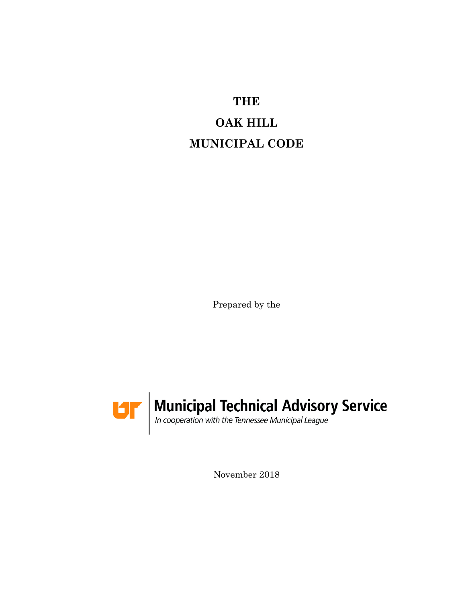**THE**

# **OAK HILL MUNICIPAL CODE**

Prepared by the



November 2018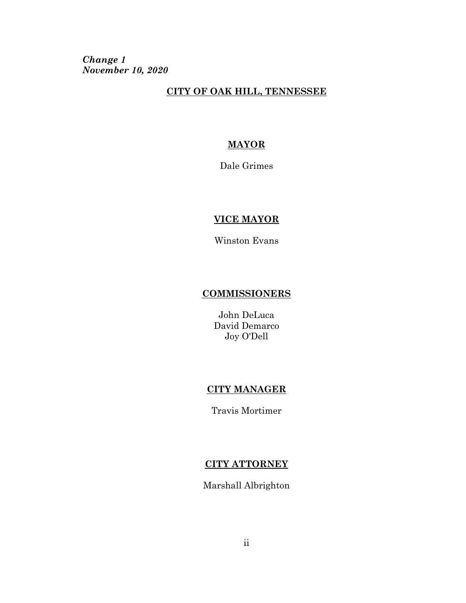*Change 1 November 10, 2020*

#### **CITY OF OAK HILL, TENNESSEE**

#### **MAYOR**

Dale Grimes

#### **VICE MAYOR**

Winston Evans

#### **COMMISSIONERS**

John DeLuca David Demarco Joy O'Dell

#### **CITY MANAGER**

Travis Mortimer

#### **CITY ATTORNEY**

Marshall Albrighton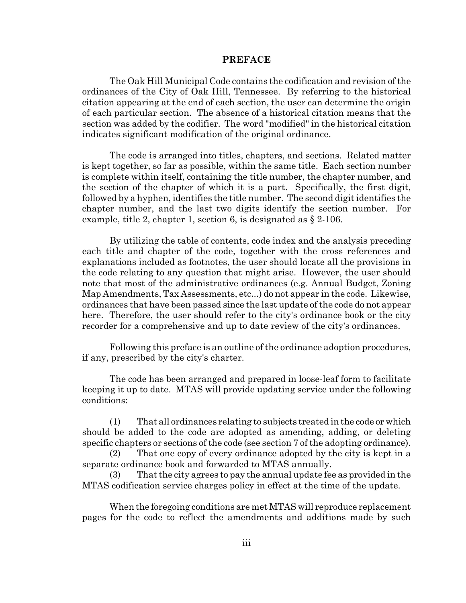#### **PREFACE**

The Oak Hill Municipal Code contains the codification and revision of the ordinances of the City of Oak Hill, Tennessee. By referring to the historical citation appearing at the end of each section, the user can determine the origin of each particular section. The absence of a historical citation means that the section was added by the codifier. The word "modified" in the historical citation indicates significant modification of the original ordinance.

The code is arranged into titles, chapters, and sections. Related matter is kept together, so far as possible, within the same title. Each section number is complete within itself, containing the title number, the chapter number, and the section of the chapter of which it is a part. Specifically, the first digit, followed by a hyphen, identifies the title number. The second digit identifies the chapter number, and the last two digits identify the section number. For example, title 2, chapter 1, section 6, is designated as § 2-106.

By utilizing the table of contents, code index and the analysis preceding each title and chapter of the code, together with the cross references and explanations included as footnotes, the user should locate all the provisions in the code relating to any question that might arise. However, the user should note that most of the administrative ordinances (e.g. Annual Budget, Zoning Map Amendments, Tax Assessments, etc...) do not appear in the code. Likewise, ordinances that have been passed since the last update of the code do not appear here. Therefore, the user should refer to the city's ordinance book or the city recorder for a comprehensive and up to date review of the city's ordinances.

Following this preface is an outline of the ordinance adoption procedures, if any, prescribed by the city's charter.

The code has been arranged and prepared in loose-leaf form to facilitate keeping it up to date. MTAS will provide updating service under the following conditions:

(1) That all ordinances relating to subjects treated in the code or which should be added to the code are adopted as amending, adding, or deleting specific chapters or sections of the code (see section 7 of the adopting ordinance).

(2) That one copy of every ordinance adopted by the city is kept in a separate ordinance book and forwarded to MTAS annually.

(3) That the city agrees to pay the annual update fee as provided in the MTAS codification service charges policy in effect at the time of the update.

When the foregoing conditions are met MTAS will reproduce replacement pages for the code to reflect the amendments and additions made by such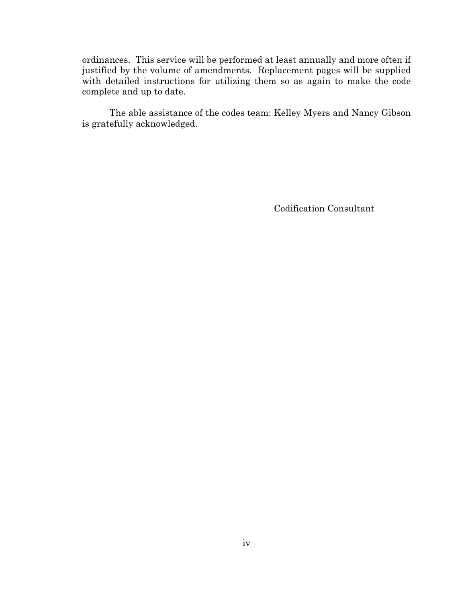ordinances. This service will be performed at least annually and more often if justified by the volume of amendments. Replacement pages will be supplied with detailed instructions for utilizing them so as again to make the code complete and up to date.

The able assistance of the codes team: Kelley Myers and Nancy Gibson is gratefully acknowledged.

Codification Consultant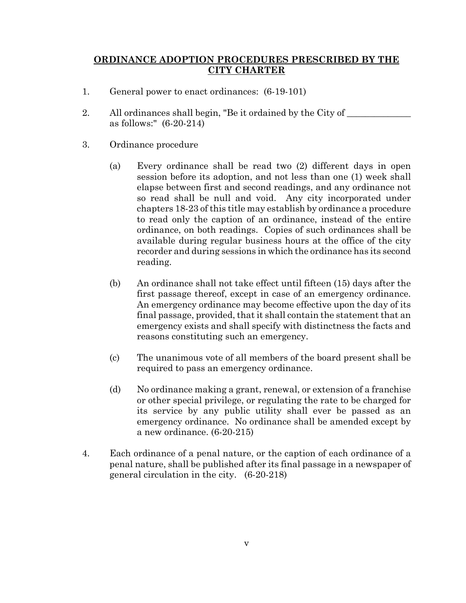#### **ORDINANCE ADOPTION PROCEDURES PRESCRIBED BY THE CITY CHARTER**

- 1. General power to enact ordinances: (6-19-101)
- 2. All ordinances shall begin, "Be it ordained by the City of  $\frac{1}{\sqrt{2\pi}}$ as follows:" (6-20-214)
- 3. Ordinance procedure
	- (a) Every ordinance shall be read two (2) different days in open session before its adoption, and not less than one (1) week shall elapse between first and second readings, and any ordinance not so read shall be null and void. Any city incorporated under chapters 18-23 of this title may establish by ordinance a procedure to read only the caption of an ordinance, instead of the entire ordinance, on both readings. Copies of such ordinances shall be available during regular business hours at the office of the city recorder and during sessions in which the ordinance has its second reading.
	- (b) An ordinance shall not take effect until fifteen (15) days after the first passage thereof, except in case of an emergency ordinance. An emergency ordinance may become effective upon the day of its final passage, provided, that it shall contain the statement that an emergency exists and shall specify with distinctness the facts and reasons constituting such an emergency.
	- (c) The unanimous vote of all members of the board present shall be required to pass an emergency ordinance.
	- (d) No ordinance making a grant, renewal, or extension of a franchise or other special privilege, or regulating the rate to be charged for its service by any public utility shall ever be passed as an emergency ordinance. No ordinance shall be amended except by a new ordinance. (6-20-215)
- 4. Each ordinance of a penal nature, or the caption of each ordinance of a penal nature, shall be published after its final passage in a newspaper of general circulation in the city. (6-20-218)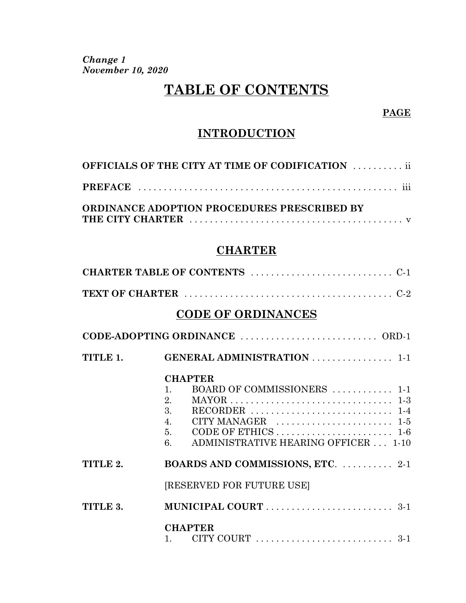*Change 1 November 10, 2020*

# **TABLE OF CONTENTS**

#### **PAGE**

### **INTRODUCTION**

| <b>OFFICIALS OF THE CITY AT TIME OF CODIFICATION  ii</b> |
|----------------------------------------------------------|
|                                                          |
| ORDINANCE ADOPTION PROCEDURES PRESCRIBED BY              |

### **CHARTER**

|          | <b>CODE OF ORDINANCES</b>                                                                                                                                                                                                                                                                                                                                                                            |
|----------|------------------------------------------------------------------------------------------------------------------------------------------------------------------------------------------------------------------------------------------------------------------------------------------------------------------------------------------------------------------------------------------------------|
|          |                                                                                                                                                                                                                                                                                                                                                                                                      |
| TITLE 1. | GENERAL ADMINISTRATION  1-1                                                                                                                                                                                                                                                                                                                                                                          |
|          | <b>CHAPTER</b><br>BOARD OF COMMISSIONERS  1-1<br>$\mathbf{1}$ .<br>2.<br>MAYOR $\ldots \ldots \ldots \ldots \ldots \ldots \ldots \ldots \ldots \ldots \ldots \ldots$<br>3.<br>RECORDER $\ldots \ldots \ldots \ldots \ldots \ldots \ldots \ldots \ldots 1-4$<br>CITY MANAGER $\ldots \ldots \ldots \ldots \ldots \ldots \ldots 1.5$<br>$\overline{4}$ .<br>ADMINISTRATIVE HEARING OFFICER  1-10<br>6. |
| TITLE 2. | BOARDS AND COMMISSIONS, ETC.  2-1                                                                                                                                                                                                                                                                                                                                                                    |
|          | [RESERVED FOR FUTURE USE]                                                                                                                                                                                                                                                                                                                                                                            |
| TITLE 3. |                                                                                                                                                                                                                                                                                                                                                                                                      |
|          | <b>CHAPTER</b>                                                                                                                                                                                                                                                                                                                                                                                       |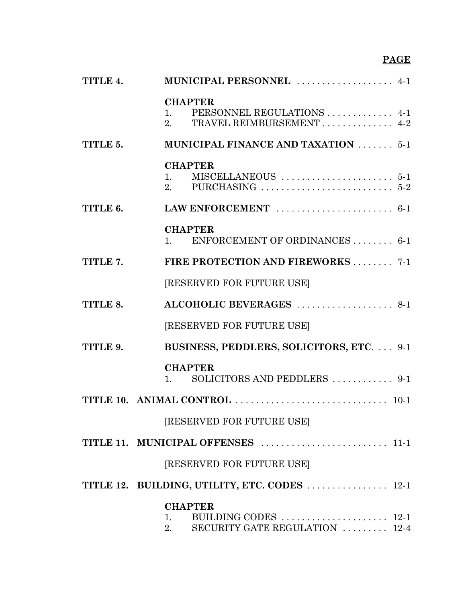# **PAGE**

| TITLE 4. | MUNICIPAL PERSONNEL  4-1                                                                                                               |
|----------|----------------------------------------------------------------------------------------------------------------------------------------|
|          | <b>CHAPTER</b><br>PERSONNEL REGULATIONS  4-1<br>1.<br>TRAVEL REIMBURSEMENT 4-2<br>2 <sub>1</sub>                                       |
| TITLE 5. | MUNICIPAL FINANCE AND TAXATION  5-1                                                                                                    |
|          | <b>CHAPTER</b><br>1.<br>PURCHASING $\ldots \ldots \ldots \ldots \ldots \ldots \ldots 5-2$<br>2.                                        |
| TITLE 6. |                                                                                                                                        |
|          | <b>CHAPTER</b><br>ENFORCEMENT OF ORDINANCES  6-1<br>1.                                                                                 |
| TITLE 7. | FIRE PROTECTION AND FIREWORKS 7-1                                                                                                      |
|          | <b>[RESERVED FOR FUTURE USE]</b>                                                                                                       |
| TITLE 8. | ALCOHOLIC BEVERAGES  8-1                                                                                                               |
|          | [RESERVED FOR FUTURE USE]                                                                                                              |
| TITLE 9. | BUSINESS, PEDDLERS, SOLICITORS, ETC.  9-1                                                                                              |
|          | <b>CHAPTER</b><br>SOLICITORS AND PEDDLERS  9-1<br>1.                                                                                   |
|          |                                                                                                                                        |
|          | [RESERVED FOR FUTURE USE]                                                                                                              |
|          |                                                                                                                                        |
|          | [RESERVED FOR FUTURE USE]                                                                                                              |
|          | TITLE 12. BUILDING, UTILITY, ETC. CODES  12-1                                                                                          |
|          | <b>CHAPTER</b><br>BUILDING CODES $\ldots \ldots \ldots \ldots \ldots \ldots \ldots 12-1$<br>1.<br>SECURITY GATE REGULATION  12-4<br>2. |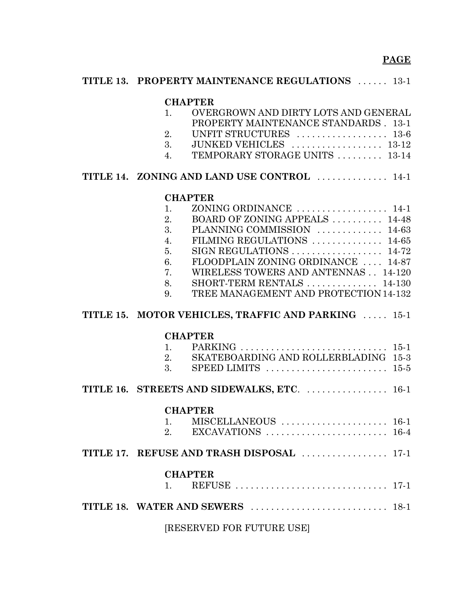#### **PAGE**

| <b>TITLE 13. PROPERTY MAINTENANCE REGULATIONS</b> 13-1                                                                                                                                                                                                                                                                                                                                      |
|---------------------------------------------------------------------------------------------------------------------------------------------------------------------------------------------------------------------------------------------------------------------------------------------------------------------------------------------------------------------------------------------|
| <b>CHAPTER</b><br>OVERGROWN AND DIRTY LOTS AND GENERAL<br>1.<br>PROPERTY MAINTENANCE STANDARDS . 13-1<br>2.<br>3. JUNKED VEHICLES  13-12<br>4. TEMPORARY STORAGE UNITS  13-14                                                                                                                                                                                                               |
| TITLE 14. ZONING AND LAND USE CONTROL  14-1                                                                                                                                                                                                                                                                                                                                                 |
| <b>CHAPTER</b><br>ZONING ORDINANCE  14-1<br>1.<br>BOARD OF ZONING APPEALS  14-48<br>2.<br>3.<br>PLANNING COMMISSION  14-63<br>FILMING REGULATIONS $\ldots \ldots \ldots \ldots 14-65$<br>$\overline{4}$ .<br>5.<br>FLOODPLAIN ZONING ORDINANCE  14-87<br>6.<br>WIRELESS TOWERS AND ANTENNAS 14-120<br>7.<br>SHORT-TERM RENTALS  14-130<br>8.<br>TREE MANAGEMENT AND PROTECTION 14-132<br>9. |
| TITLE 15. MOTOR VEHICLES, TRAFFIC AND PARKING  15-1                                                                                                                                                                                                                                                                                                                                         |
| <b>CHAPTER</b><br>2. SKATEBOARDING AND ROLLERBLADING 15-3<br>3. SPEED LIMITS $\dots \dots \dots \dots \dots \dots \dots \dots \dots \dots \dots \dots \dots \dots$                                                                                                                                                                                                                          |
| TITLE 16. STREETS AND SIDEWALKS, ETC.  16-1                                                                                                                                                                                                                                                                                                                                                 |
| <b>CHAPTER</b><br>1.<br>2.                                                                                                                                                                                                                                                                                                                                                                  |
| TITLE 17. REFUSE AND TRASH DISPOSAL  17-1                                                                                                                                                                                                                                                                                                                                                   |
| <b>CHAPTER</b><br>$\mathbf{1}_{\cdot}$                                                                                                                                                                                                                                                                                                                                                      |
|                                                                                                                                                                                                                                                                                                                                                                                             |
| [RESERVED FOR FUTURE USE]                                                                                                                                                                                                                                                                                                                                                                   |